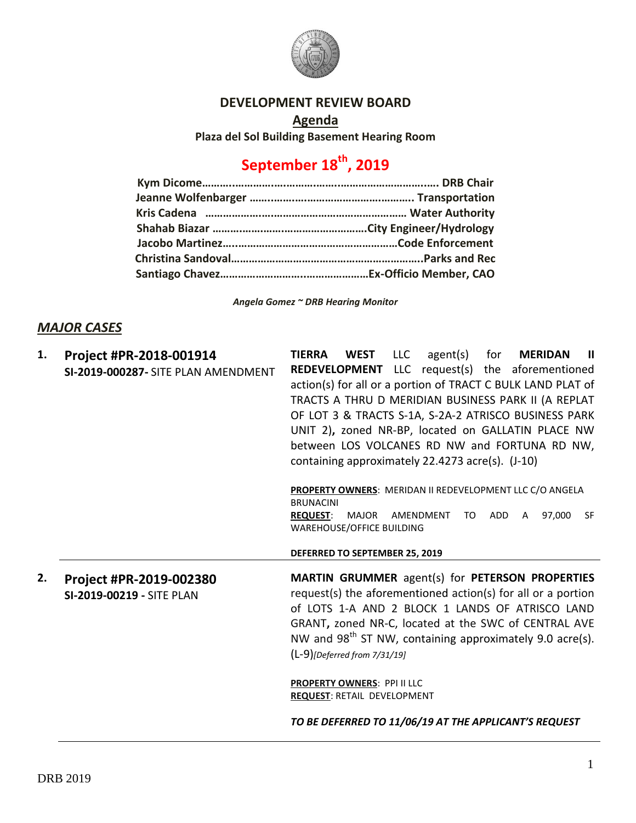

## **DEVELOPMENT REVIEW BOARD**

**Agenda Plaza del Sol Building Basement Hearing Room**

## **September 18th, 2019**

*Angela Gomez ~ DRB Hearing Monitor*

## *MAJOR CASES*

| 1. | Project #PR-2018-001914             | <b>LLC</b><br><b>TIERRA</b><br><b>WEST</b><br><b>MERIDAN</b><br>agent(s)<br>for<br>-11                       |
|----|-------------------------------------|--------------------------------------------------------------------------------------------------------------|
|    | SI-2019-000287- SITE PLAN AMENDMENT | <b>REDEVELOPMENT</b> LLC request(s) the aforementioned                                                       |
|    |                                     | action(s) for all or a portion of TRACT C BULK LAND PLAT of                                                  |
|    |                                     | TRACTS A THRU D MERIDIAN BUSINESS PARK II (A REPLAT                                                          |
|    |                                     | OF LOT 3 & TRACTS S-1A, S-2A-2 ATRISCO BUSINESS PARK                                                         |
|    |                                     | UNIT 2), zoned NR-BP, located on GALLATIN PLACE NW                                                           |
|    |                                     | between LOS VOLCANES RD NW and FORTUNA RD NW,                                                                |
|    |                                     | containing approximately 22.4273 acre(s). (J-10)                                                             |
|    |                                     |                                                                                                              |
|    |                                     | PROPERTY OWNERS: MERIDAN II REDEVELOPMENT LLC C/O ANGELA                                                     |
|    |                                     | <b>BRUNACINI</b>                                                                                             |
|    |                                     | 97,000<br>ADD<br><b>REQUEST:</b><br>MAJOR<br>AMENDMENT<br><b>SF</b><br>TO.<br>A<br>WAREHOUSE/OFFICE BUILDING |
|    |                                     |                                                                                                              |
|    |                                     | DEFERRED TO SEPTEMBER 25, 2019                                                                               |
| 2. | Project #PR-2019-002380             | <b>MARTIN GRUMMER</b> agent(s) for <b>PETERSON PROPERTIES</b>                                                |
|    | SI-2019-00219 - SITE PLAN           | request(s) the aforementioned action(s) for all or a portion                                                 |
|    |                                     | of LOTS 1-A AND 2 BLOCK 1 LANDS OF ATRISCO LAND                                                              |
|    |                                     | GRANT, zoned NR-C, located at the SWC of CENTRAL AVE                                                         |
|    |                                     | NW and 98 <sup>th</sup> ST NW, containing approximately 9.0 acre(s).                                         |
|    |                                     | $(L-9)$ [Deferred from 7/31/19]                                                                              |
|    |                                     |                                                                                                              |
|    |                                     | <b>PROPERTY OWNERS: PPI II LLC</b>                                                                           |
|    |                                     | <b>REQUEST: RETAIL DEVELOPMENT</b>                                                                           |
|    |                                     | TO BE DEFERRED TO 11/06/19 AT THE APPLICANT'S REQUEST                                                        |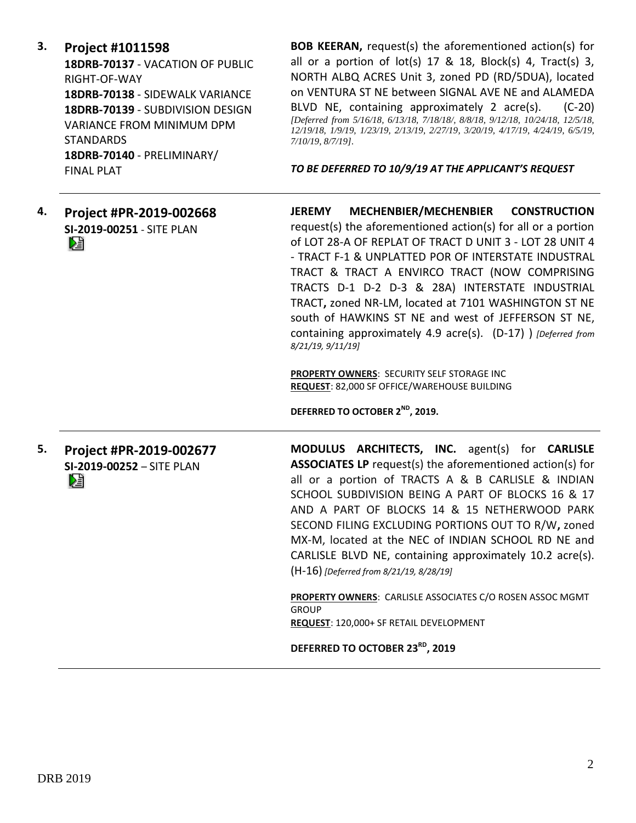**3. Project #1011598**

**18DRB-70137** - VACATION OF PUBLIC RIGHT-OF-WAY **18DRB-70138** - SIDEWALK VARIANCE **18DRB-70139** - SUBDIVISION DESIGN VARIANCE FROM MINIMUM DPM STANDARDS **18DRB-70140** - PRELIMINARY/ FINAL PLAT

**BOB KEERAN,** request(s) the aforementioned action(s) for all or a portion of  $lot(s)$  17 & 18, Block(s) 4, Tract(s) 3, NORTH ALBQ ACRES Unit 3, zoned PD (RD/5DUA), located on VENTURA ST NE between SIGNAL AVE NE and ALAMEDA BLVD NE, containing approximately 2 acre(s). (C-20) *[Deferred from 5/16/18, 6/13/18, 7/18/18/, 8/8/18, 9/12/18, 10/24/18, 12/5/18, 12/19/18, 1/9/19, 1/23/19, 2/13/19, 2/27/19, 3/20/19, 4/17/19, 4/24/19, 6/5/19, 7/10/19, 8/7/19].*

*TO BE DEFERRED TO 10/9/19 AT THE APPLICANT'S REQUEST*

**4. Project #PR-2019-002668 SI-2019-00251** - SITE PLAN Dă

**JEREMY MECHENBIER/MECHENBIER CONSTRUCTION** request(s) the aforementioned action(s) for all or a portion of LOT 28-A OF REPLAT OF TRACT D UNIT 3 - LOT 28 UNIT 4 - TRACT F-1 & UNPLATTED POR OF INTERSTATE INDUSTRAL TRACT & TRACT A ENVIRCO TRACT (NOW COMPRISING TRACTS D-1 D-2 D-3 & 28A) INTERSTATE INDUSTRIAL TRACT**,** zoned NR-LM, located at 7101 WASHINGTON ST NE south of HAWKINS ST NE and west of JEFFERSON ST NE, containing approximately 4.9 acre(s). (D-17) ) *[Deferred from 8/21/19, 9/11/19]*

**PROPERTY OWNERS**: SECURITY SELF STORAGE INC **REQUEST**: 82,000 SF OFFICE/WAREHOUSE BUILDING

**DEFERRED TO OCTOBER 2ND, 2019.**

**5. Project #PR-2019-002677 SI-2019-00252** – SITE PLAN DÊ

**MODULUS ARCHITECTS, INC.** agent(s) for **CARLISLE ASSOCIATES LP** request(s) the aforementioned action(s) for all or a portion of TRACTS A & B CARLISLE & INDIAN SCHOOL SUBDIVISION BEING A PART OF BLOCKS 16 & 17 AND A PART OF BLOCKS 14 & 15 NETHERWOOD PARK SECOND FILING EXCLUDING PORTIONS OUT TO R/W**,** zoned MX-M, located at the NEC of INDIAN SCHOOL RD NE and CARLISLE BLVD NE, containing approximately 10.2 acre(s). (H-16) *[Deferred from 8/21/19, 8/28/19]*

**PROPERTY OWNERS**: CARLISLE ASSOCIATES C/O ROSEN ASSOC MGMT GROUP **REQUEST**: 120,000+ SF RETAIL DEVELOPMENT

**DEFERRED TO OCTOBER 23RD, 2019**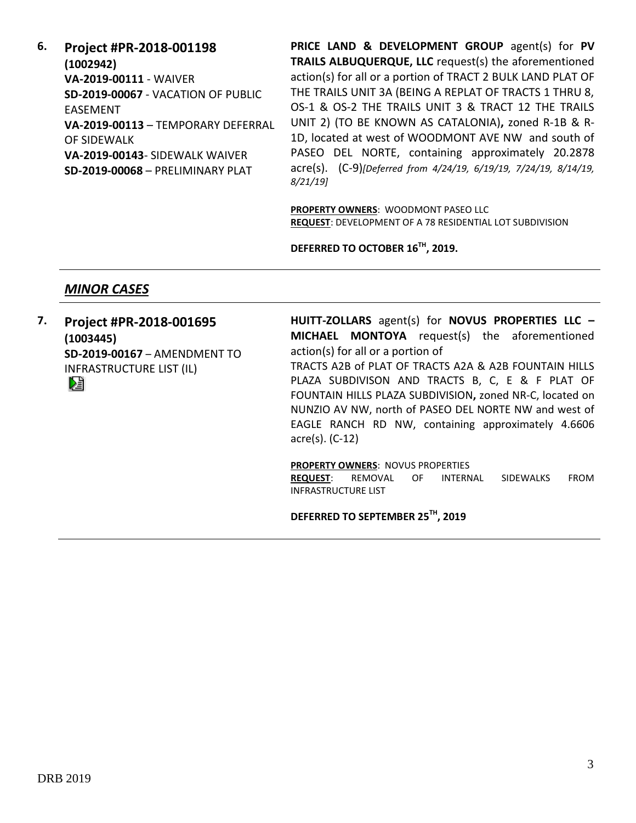**6. Project #PR-2018-001198 (1002942) VA-2019-00111** - WAIVER **SD-2019-00067** - VACATION OF PUBLIC EASEMENT **VA-2019-00113** – TEMPORARY DEFERRAL OF SIDEWALK **VA-2019-00143**- SIDEWALK WAIVER **SD-2019-00068** – PRELIMINARY PLAT

**PRICE LAND & DEVELOPMENT GROUP** agent(s) for **PV TRAILS ALBUQUERQUE, LLC** request(s) the aforementioned action(s) for all or a portion of TRACT 2 BULK LAND PLAT OF THE TRAILS UNIT 3A (BEING A REPLAT OF TRACTS 1 THRU 8, OS-1 & OS-2 THE TRAILS UNIT 3 & TRACT 12 THE TRAILS UNIT 2) (TO BE KNOWN AS CATALONIA)**,** zoned R-1B & R-1D, located at west of WOODMONT AVE NW and south of PASEO DEL NORTE, containing approximately 20.2878 acre(s). (C-9)*[Deferred from 4/24/19, 6/19/19, 7/24/19, 8/14/19, 8/21/19]*

**PROPERTY OWNERS**: WOODMONT PASEO LLC **REQUEST**: DEVELOPMENT OF A 78 RESIDENTIAL LOT SUBDIVISION

**DEFERRED TO OCTOBER 16TH, 2019.**

## *MINOR CASES*

**7. Project #PR-2018-001695 (1003445) SD-2019-00167** – AMENDMENT TO INFRASTRUCTURE LIST (IL) DÊ

**HUITT-ZOLLARS** agent(s) for **NOVUS PROPERTIES LLC – MICHAEL MONTOYA** request(s) the aforementioned action(s) for all or a portion of TRACTS A2B of PLAT OF TRACTS A2A & A2B FOUNTAIN HILLS PLAZA SUBDIVISON AND TRACTS B, C, E & F PLAT OF FOUNTAIN HILLS PLAZA SUBDIVISION**,** zoned NR-C, located on NUNZIO AV NW, north of PASEO DEL NORTE NW and west of EAGLE RANCH RD NW, containing approximately 4.6606 acre(s). (C-12)

**PROPERTY OWNERS**: NOVUS PROPERTIES **REQUEST**: REMOVAL OF INTERNAL SIDEWALKS FROM INFRASTRUCTURE LIST

**DEFERRED TO SEPTEMBER 25TH, 2019**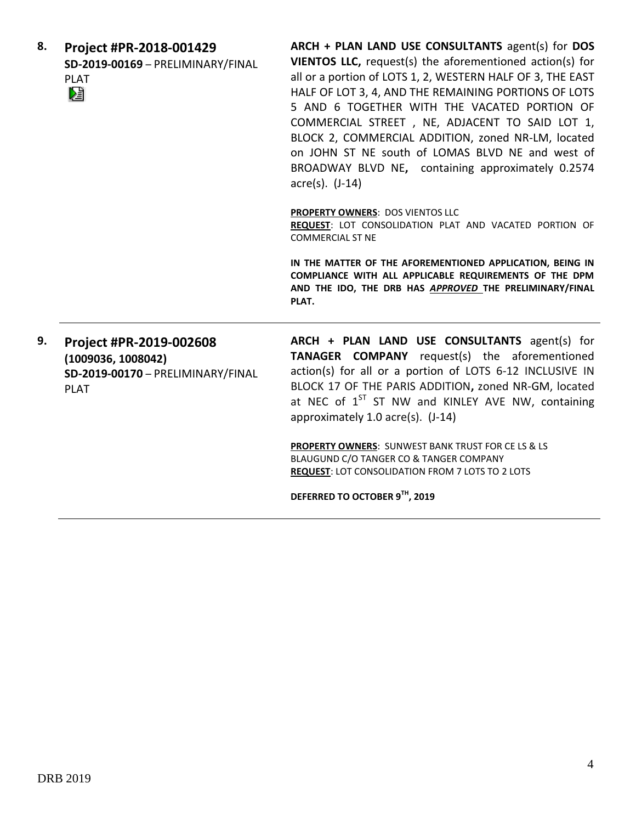| 8. | Project #PR-2018-001429<br>SD-2019-00169 - PRELIMINARY/FINAL<br><b>PLAT</b><br>D.                 | ARCH + PLAN LAND USE CONSULTANTS agent(s) for DOS<br>VIENTOS LLC, request(s) the aforementioned action(s) for<br>all or a portion of LOTS 1, 2, WESTERN HALF OF 3, THE EAST<br>HALF OF LOT 3, 4, AND THE REMAINING PORTIONS OF LOTS<br>5 AND 6 TOGETHER WITH THE VACATED PORTION OF<br>COMMERCIAL STREET, NE, ADJACENT TO SAID LOT 1,<br>BLOCK 2, COMMERCIAL ADDITION, zoned NR-LM, located<br>on JOHN ST NE south of LOMAS BLVD NE and west of<br>BROADWAY BLVD NE, containing approximately 0.2574<br>$\arccos(5)$ . $(J-14)$ |
|----|---------------------------------------------------------------------------------------------------|---------------------------------------------------------------------------------------------------------------------------------------------------------------------------------------------------------------------------------------------------------------------------------------------------------------------------------------------------------------------------------------------------------------------------------------------------------------------------------------------------------------------------------|
|    |                                                                                                   | <b>PROPERTY OWNERS: DOS VIENTOS LLC</b><br>REQUEST: LOT CONSOLIDATION PLAT AND VACATED PORTION OF<br><b>COMMERCIAL ST NE</b>                                                                                                                                                                                                                                                                                                                                                                                                    |
|    |                                                                                                   | IN THE MATTER OF THE AFOREMENTIONED APPLICATION, BEING IN<br>COMPLIANCE WITH ALL APPLICABLE REQUIREMENTS OF THE DPM<br>AND THE IDO, THE DRB HAS APPROVED THE PRELIMINARY/FINAL<br>PLAT.                                                                                                                                                                                                                                                                                                                                         |
| 9. | Project #PR-2019-002608<br>(1009036, 1008042)<br>SD-2019-00170 - PRELIMINARY/FINAL<br><b>PLAT</b> | ARCH + PLAN LAND USE CONSULTANTS agent(s) for<br><b>TANAGER COMPANY</b> request(s) the aforementioned<br>action(s) for all or a portion of LOTS 6-12 INCLUSIVE IN<br>BLOCK 17 OF THE PARIS ADDITION, zoned NR-GM, located<br>at NEC of 1 <sup>ST</sup> ST NW and KINLEY AVE NW, containing<br>approximately 1.0 acre(s). (J-14)                                                                                                                                                                                                 |
|    |                                                                                                   | <b>PROPERTY OWNERS: SUNWEST BANK TRUST FOR CE LS &amp; LS</b><br>BLAUGUND C/O TANGER CO & TANGER COMPANY<br><b>REQUEST: LOT CONSOLIDATION FROM 7 LOTS TO 2 LOTS</b><br>DEFERRED TO OCTOBER 9TH, 2019                                                                                                                                                                                                                                                                                                                            |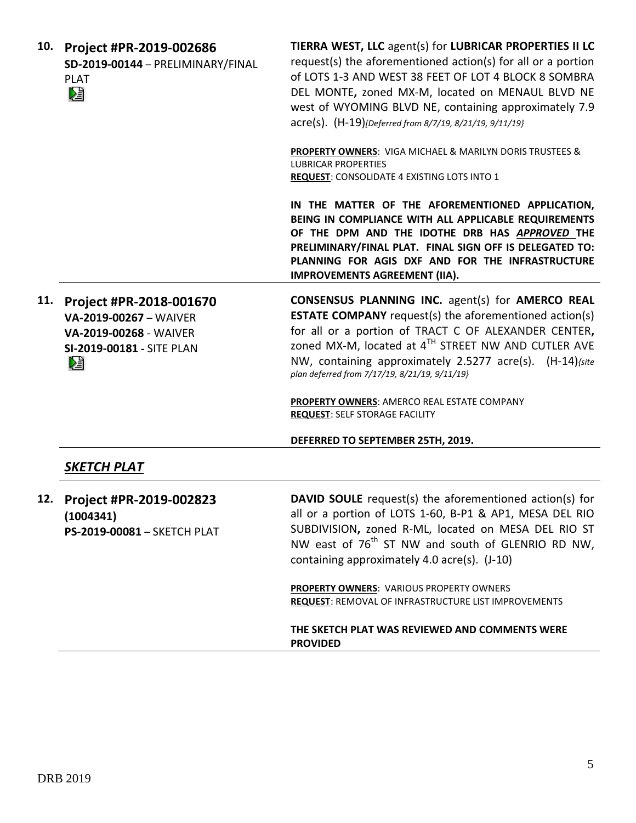| 10. | Project #PR-2019-002686<br>SD-2019-00144 - PRELIMINARY/FINAL<br><b>PLAT</b><br>N                               | TIERRA WEST, LLC agent(s) for LUBRICAR PROPERTIES II LC<br>request(s) the aforementioned action(s) for all or a portion<br>of LOTS 1-3 AND WEST 38 FEET OF LOT 4 BLOCK 8 SOMBRA<br>DEL MONTE, zoned MX-M, located on MENAUL BLVD NE<br>west of WYOMING BLVD NE, containing approximately 7.9<br>acre(s). (H-19)[Deferred from 8/7/19, 8/21/19, 9/11/19}      |
|-----|----------------------------------------------------------------------------------------------------------------|--------------------------------------------------------------------------------------------------------------------------------------------------------------------------------------------------------------------------------------------------------------------------------------------------------------------------------------------------------------|
|     |                                                                                                                | PROPERTY OWNERS: VIGA MICHAEL & MARILYN DORIS TRUSTEES &<br><b>LUBRICAR PROPERTIES</b><br>REQUEST: CONSOLIDATE 4 EXISTING LOTS INTO 1                                                                                                                                                                                                                        |
|     |                                                                                                                | IN THE MATTER OF THE AFOREMENTIONED APPLICATION,<br>BEING IN COMPLIANCE WITH ALL APPLICABLE REQUIREMENTS<br>OF THE DPM AND THE IDOTHE DRB HAS APPROVED THE<br>PRELIMINARY/FINAL PLAT. FINAL SIGN OFF IS DELEGATED TO:<br>PLANNING FOR AGIS DXF AND FOR THE INFRASTRUCTURE<br><b>IMPROVEMENTS AGREEMENT (IIA).</b>                                            |
| 11. | Project #PR-2018-001670<br>VA-2019-00267 - WAIVER<br>VA-2019-00268 - WAIVER<br>SI-2019-00181 - SITE PLAN<br>r. | <b>CONSENSUS PLANNING INC.</b> agent(s) for <b>AMERCO REAL</b><br><b>ESTATE COMPANY</b> request(s) the aforementioned action(s)<br>for all or a portion of TRACT C OF ALEXANDER CENTER,<br>zoned MX-M, located at 4TH STREET NW AND CUTLER AVE<br>NW, containing approximately 2.5277 acre(s). (H-14) (site<br>plan deferred from 7/17/19, 8/21/19, 9/11/19} |
|     |                                                                                                                | PROPERTY OWNERS: AMERCO REAL ESTATE COMPANY<br><b>REQUEST: SELF STORAGE FACILITY</b>                                                                                                                                                                                                                                                                         |
|     |                                                                                                                | DEFERRED TO SEPTEMBER 25TH, 2019.                                                                                                                                                                                                                                                                                                                            |
|     | SKETCH PLAT                                                                                                    |                                                                                                                                                                                                                                                                                                                                                              |
| 12. | Project #PR-2019-002823<br>(1004341)<br>PS-2019-00081 - SKETCH PLAT                                            | <b>DAVID SOULE</b> request(s) the aforementioned action(s) for<br>all or a portion of LOTS 1-60, B-P1 & AP1, MESA DEL RIO<br>SUBDIVISION, zoned R-ML, located on MESA DEL RIO ST<br>NW east of 76 <sup>th</sup> ST NW and south of GLENRIO RD NW,<br>containing approximately 4.0 acre(s). (J-10)                                                            |
|     |                                                                                                                | PROPERTY OWNERS: VARIOUS PROPERTY OWNERS<br>REQUEST: REMOVAL OF INFRASTRUCTURE LIST IMPROVEMENTS                                                                                                                                                                                                                                                             |
|     |                                                                                                                | THE SKETCH PLAT WAS REVIEWED AND COMMENTS WERE<br><b>PROVIDED</b>                                                                                                                                                                                                                                                                                            |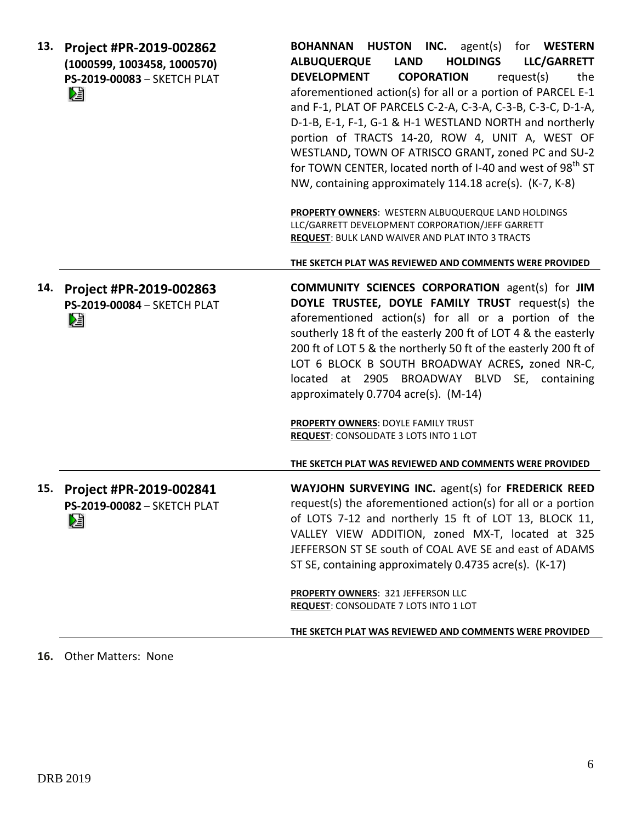| 13. | Project #PR-2019-002862<br>(1000599, 1003458, 1000570)<br>PS-2019-00083 - SKETCH PLAT<br>r, | <b>BOHANNAN HUSTON INC.</b> agent(s) for WESTERN<br><b>HOLDINGS</b><br>LLC/GARRETT<br><b>ALBUQUERQUE</b><br><b>LAND</b><br><b>DEVELOPMENT</b><br><b>COPORATION</b><br>request(s)<br>the<br>aforementioned action(s) for all or a portion of PARCEL E-1<br>and F-1, PLAT OF PARCELS C-2-A, C-3-A, C-3-B, C-3-C, D-1-A,<br>D-1-B, E-1, F-1, G-1 & H-1 WESTLAND NORTH and northerly<br>portion of TRACTS 14-20, ROW 4, UNIT A, WEST OF<br>WESTLAND, TOWN OF ATRISCO GRANT, zoned PC and SU-2<br>for TOWN CENTER, located north of I-40 and west of 98 <sup>th</sup> ST<br>NW, containing approximately 114.18 acre(s). (K-7, K-8)<br>PROPERTY OWNERS: WESTERN ALBUQUERQUE LAND HOLDINGS<br>LLC/GARRETT DEVELOPMENT CORPORATION/JEFF GARRETT<br>REQUEST: BULK LAND WAIVER AND PLAT INTO 3 TRACTS<br>THE SKETCH PLAT WAS REVIEWED AND COMMENTS WERE PROVIDED |
|-----|---------------------------------------------------------------------------------------------|---------------------------------------------------------------------------------------------------------------------------------------------------------------------------------------------------------------------------------------------------------------------------------------------------------------------------------------------------------------------------------------------------------------------------------------------------------------------------------------------------------------------------------------------------------------------------------------------------------------------------------------------------------------------------------------------------------------------------------------------------------------------------------------------------------------------------------------------------------|
| 14. | Project #PR-2019-002863<br>PS-2019-00084 - SKETCH PLAT<br>∕₫                                | <b>COMMUNITY SCIENCES CORPORATION agent(s) for JIM</b><br>DOYLE TRUSTEE, DOYLE FAMILY TRUST request(s) the<br>aforementioned action(s) for all or a portion of the<br>southerly 18 ft of the easterly 200 ft of LOT 4 & the easterly<br>200 ft of LOT 5 & the northerly 50 ft of the easterly 200 ft of<br>LOT 6 BLOCK B SOUTH BROADWAY ACRES, zoned NR-C,<br>located at 2905 BROADWAY BLVD SE, containing<br>approximately 0.7704 acre(s). (M-14)<br>PROPERTY OWNERS: DOYLE FAMILY TRUST<br>REQUEST: CONSOLIDATE 3 LOTS INTO 1 LOT<br>THE SKETCH PLAT WAS REVIEWED AND COMMENTS WERE PROVIDED                                                                                                                                                                                                                                                          |
| 15. | Project #PR-2019-002841<br>PS-2019-00082 - SKETCH PLAT<br>r,                                | WAYJOHN SURVEYING INC. agent(s) for FREDERICK REED<br>request(s) the aforementioned action(s) for all or a portion<br>of LOTS 7-12 and northerly 15 ft of LOT 13, BLOCK 11,<br>VALLEY VIEW ADDITION, zoned MX-T, located at 325<br>JEFFERSON ST SE south of COAL AVE SE and east of ADAMS<br>ST SE, containing approximately 0.4735 acre(s). (K-17)<br><b>PROPERTY OWNERS: 321 JEFFERSON LLC</b><br>REQUEST: CONSOLIDATE 7 LOTS INTO 1 LOT<br>THE SKETCH PLAT WAS REVIEWED AND COMMENTS WERE PROVIDED                                                                                                                                                                                                                                                                                                                                                   |

**16.** Other Matters: None